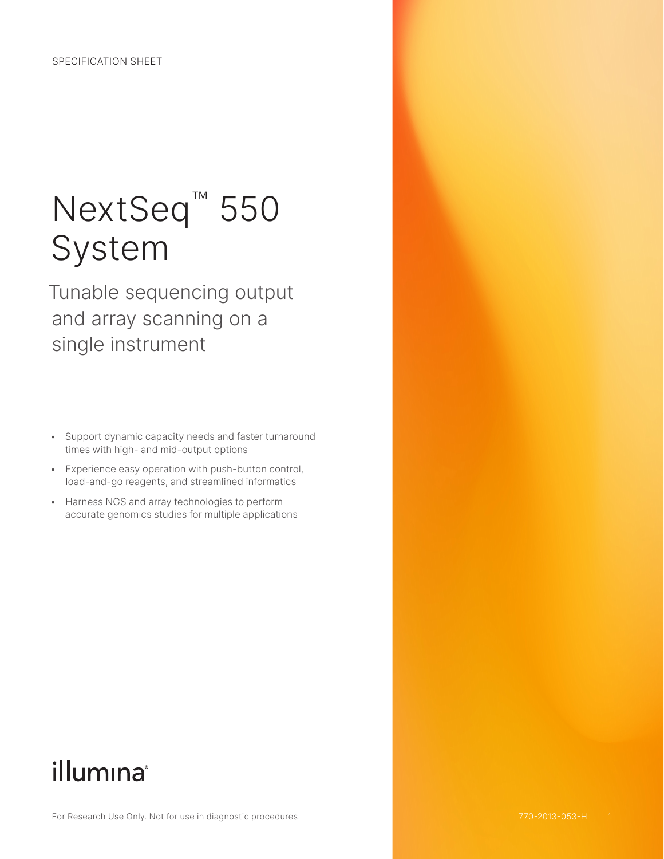# NextSeq<sup>™</sup> 550 System

Tunable sequencing output and array scanning on a single instrument

- Support dynamic capacity needs and faster turnaround times with high- and mid-output options
- Experience easy operation with push-button control, load-and-go reagents, and streamlined informatics
- Harness NGS and array technologies to perform accurate genomics studies for multiple applications

## illumina®

For Research Use Only. Not for use in diagnostic procedures.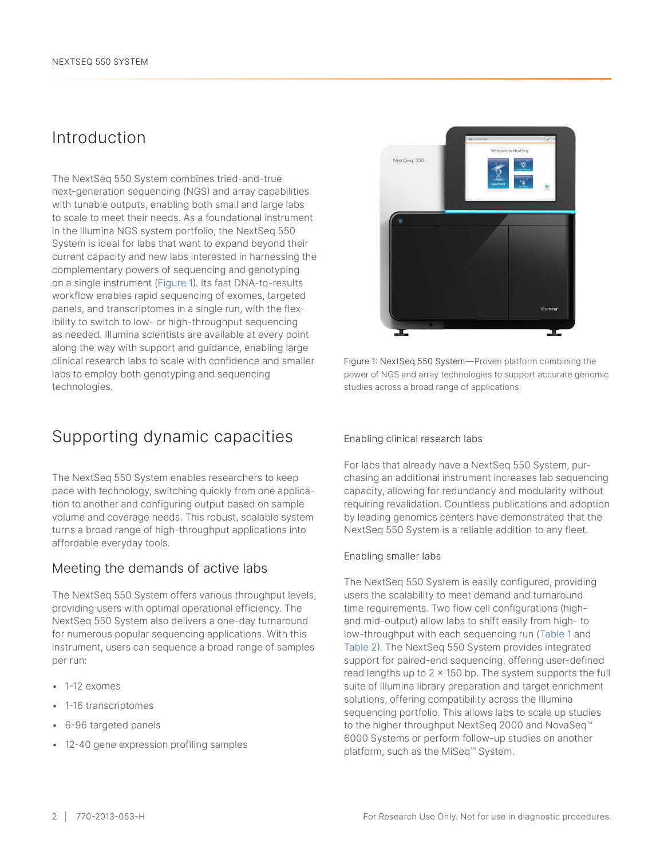### Introduction

The NextSeq 550 System combines tried-and-true next-generation sequencing (NGS) and array capabilities with tunable outputs, enabling both small and large labs to scale to meet their needs. As a foundational instrument in the Illumina NGS system portfolio, the NextSeq 550 System is ideal for labs that want to expand beyond their current capacity and new labs interested in harnessing the complementary powers of sequencing and genotyping on a single instrument (Figure 1). Its fast DNA-to-results workflow enables rapid sequencing of exomes, targeted panels, and transcriptomes in a single run, with the flexibility to switch to low- or high-throughput sequencing as needed. Illumina scientists are available at every point along the way with support and guidance, enabling large clinical research labs to scale with confidence and smaller labs to employ both genotyping and sequencing technologies.

### Supporting dynamic capacities

The NextSeq 550 System enables researchers to keep pace with technology, switching quickly from one application to another and configuring output based on sample volume and coverage needs. This robust, scalable system turns a broad range of high-throughput applications into affordable everyday tools.

### Meeting the demands of active labs

The NextSeq 550 System offers various throughput levels, providing users with optimal operational efficiency. The NextSeq 550 System also delivers a one-day turnaround for numerous popular sequencing applications. With this instrument, users can sequence a broad range of samples per run:

- 1-12 exomes
- 1-16 transcriptomes
- 6-96 targeted panels
- 12-40 gene expression profiling samples



Figure 1: NextSeq 550 System—Proven platform combining the power of NGS and array technologies to support accurate genomic studies across a broad range of applications.

#### Enabling clinical research labs

For labs that already have a NextSeq 550 System, purchasing an additional instrument increases lab sequencing capacity, allowing for redundancy and modularity without requiring revalidation. Countless publications and adoption by leading genomics centers have demonstrated that the NextSeq 550 System is a reliable addition to any fleet.

#### Enabling smaller labs

The NextSeq 550 System is easily configured, providing users the scalability to meet demand and turnaround time requirements. Two flow cell configurations (highand mid-output) allow labs to shift easily from high- to low-throughput with each sequencing run ([Table](#page-2-0) 1 and [Table 2\)](#page-2-0). The NextSeq 550 System provides integrated support for paired-end sequencing, offering user-defined read lengths up to  $2 \times 150$  bp. The system supports the full suite of Illumina library preparation and target enrichment solutions, offering compatibility across the Illumina sequencing portfolio. This allows labs to scale up studies to the higher throughput NextSeq 2000 and NovaSeq™ 6000 Systems or perform follow-up studies on another platform, such as the MiSeq™ System.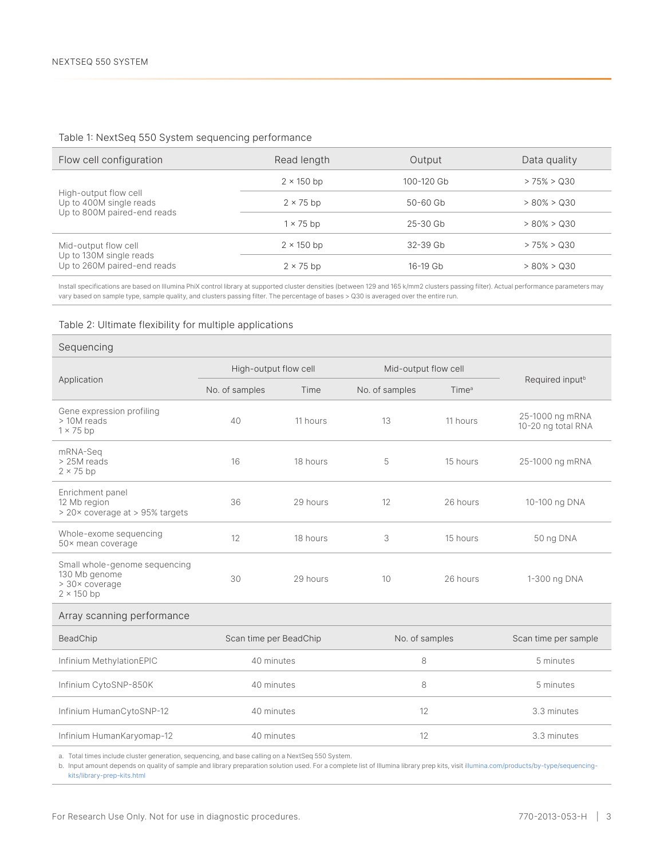#### <span id="page-2-0"></span>Table 1: NextSeq 550 System sequencing performance

| Flow cell configuration                                                         | Read length       | Output       | Data quality   |
|---------------------------------------------------------------------------------|-------------------|--------------|----------------|
|                                                                                 | $2 \times 150$ bp | 100-120 Gb   | $> 75\% > Q30$ |
| High-output flow cell<br>Up to 400M single reads<br>Up to 800M paired-end reads | $2 \times 75$ bp  | $50 - 60$ Gb | $> 80\% > Q30$ |
|                                                                                 | $1 \times 75$ bp  | $25 - 30$ Gb | $> 80\% > Q30$ |
| Mid-output flow cell                                                            | $2 \times 150$ bp | $32-39$ Gb   | $> 75\% > Q30$ |
| Up to 130M single reads<br>Up to 260M paired-end reads                          | $2 \times 75$ bp  | $16-19$ Gb   | $> 80\% > Q30$ |

Install specifications are based on Illumina PhiX control library at supported cluster densities (between 129 and 165 k/mm2 clusters passing filter). Actual performance parameters may vary based on sample type, sample quality, and clusters passing filter. The percentage of bases > Q30 is averaged over the entire run.

#### Table 2: Ultimate flexibility for multiple applications

| Sequencing                                                                            |                        |          |                      |                   |                                       |
|---------------------------------------------------------------------------------------|------------------------|----------|----------------------|-------------------|---------------------------------------|
| Application                                                                           | High-output flow cell  |          | Mid-output flow cell |                   |                                       |
|                                                                                       | No. of samples         | Time     | No. of samples       | Time <sup>a</sup> | Required input <sup>b</sup>           |
| Gene expression profiling<br>> 10M reads<br>$1 \times 75$ bp                          | 40                     | 11 hours | 13                   | 11 hours          | 25-1000 ng mRNA<br>10-20 ng total RNA |
| mRNA-Sea<br>> 25M reads<br>$2 \times 75$ bp                                           | 16                     | 18 hours | 5                    | 15 hours          | 25-1000 ng mRNA                       |
| Enrichment panel<br>12 Mb region<br>> 20x coverage at > 95% targets                   | 36                     | 29 hours | 12                   | 26 hours          | 10-100 ng DNA                         |
| Whole-exome sequencing<br>50× mean coverage                                           | 12                     | 18 hours | 3                    | 15 hours          | 50 ng DNA                             |
| Small whole-genome sequencing<br>130 Mb genome<br>> 30× coverage<br>$2 \times 150$ bp | 30                     | 29 hours | 10                   | 26 hours          | 1-300 ng DNA                          |
| Array scanning performance                                                            |                        |          |                      |                   |                                       |
| BeadChip                                                                              | Scan time per BeadChip |          | No. of samples       |                   | Scan time per sample                  |
| Infinium MethylationEPIC                                                              | 40 minutes             |          | 8                    |                   | 5 minutes                             |
| Infinium CytoSNP-850K                                                                 | 40 minutes             |          | 8                    |                   | 5 minutes                             |
| Infinium HumanCytoSNP-12                                                              | 40 minutes             |          | 12                   |                   | 3.3 minutes                           |
| Infinium HumanKaryomap-12                                                             | 40 minutes             |          | 12                   |                   | 3.3 minutes                           |

a. Total times include cluster generation, sequencing, and base calling on a NextSeq 550 System.

b. Input amount depends on quality of sample and library preparation solution used. For a complete list of Illumina library prep kits, visit [illumina.com/products/by-type/sequencing](https://www.illumina.com/products/by-type/sequencing-kits/library-prep-kits.html)[kits/library-prep-kits.html](https://www.illumina.com/products/by-type/sequencing-kits/library-prep-kits.html)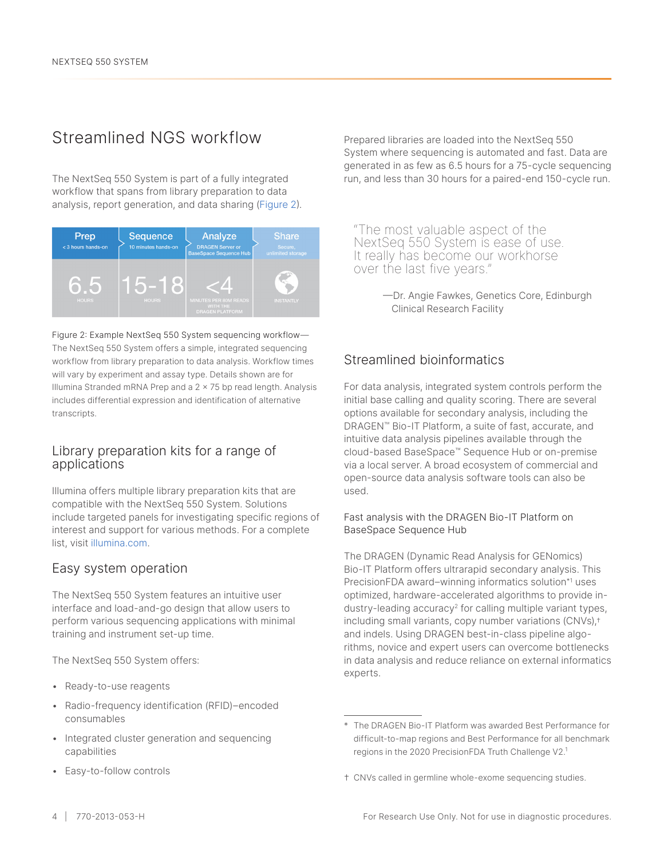## Streamlined NGS workflow

The NextSeq 550 System is part of a fully integrated workflow that spans from library preparation to data analysis, report generation, and data sharing (Figure 2).



Figure 2: Example NextSeq 550 System sequencing workflow— The NextSeq 550 System offers a simple, integrated sequencing workflow from library preparation to data analysis. Workflow times will vary by experiment and assay type. Details shown are for Illumina Stranded mRNA Prep and a 2 × 75 bp read length. Analysis includes differential expression and identification of alternative transcripts.

### Library preparation kits for a range of applications

Illumina offers multiple library preparation kits that are compatible with the NextSeq 550 System. Solutions include targeted panels for investigating specific regions of interest and support for various methods. For a complete list, visit [illumina.com.](https://www.illumina.com/)

### Easy system operation

The NextSeq 550 System features an intuitive user interface and load-and-go design that allow users to perform various sequencing applications with minimal training and instrument set-up time.

The NextSeq 550 System offers:

- Ready-to-use reagents
- Radio-frequency identification (RFID)–encoded consumables
- Integrated cluster generation and sequencing capabilities
- Easy-to-follow controls

Prepared libraries are loaded into the NextSeq 550 System where sequencing is automated and fast. Data are generated in as few as 6.5 hours for a 75-cycle sequencing run, and less than 30 hours for a paired-end 150-cycle run.

"The most valuable aspect of the NextSeq 550 System is ease of use. It really has become our workhorse over the last five years."

> —Dr. Angie Fawkes, Genetics Core, Edinburgh Clinical Research Facility

### Streamlined bioinformatics

For data analysis, integrated system controls perform the initial base calling and quality scoring. There are several options available for secondary analysis, including the DRAGEN™ Bio-IT Platform, a suite of fast, accurate, and intuitive data analysis pipelines available through the cloud-based BaseSpace™ Sequence Hub or on-premise via a local server. A broad ecosystem of commercial and open-source data analysis software tools can also be used.

#### Fast analysis with the DRAGEN Bio-IT Platform on BaseSpace Sequence Hub

The DRAGEN (Dynamic Read Analysis for GENomics) Bio-IT Platform offers ultrarapid secondary analysis. This PrecisionFDA award–winning informatics solution\*[1](#page-6-0) uses optimized, hardware-accelerated algorithms to provide in-dustry-leading accuracy<sup>[2](#page-6-1)</sup> for calling multiple variant types, including small variants, copy number variations (CNVs),† and indels. Using DRAGEN best-in-class pipeline algorithms, novice and expert users can overcome bottlenecks in data analysis and reduce reliance on external informatics experts.

<sup>\*</sup> The DRAGEN Bio-IT Platform was awarded Best Performance for difficult-to-map regions and Best Performance for all benchmark regions in the 2020 PrecisionFDA Truth Challenge V2.[1](#page-6-0)

<sup>†</sup> CNVs called in germline whole-exome sequencing studies.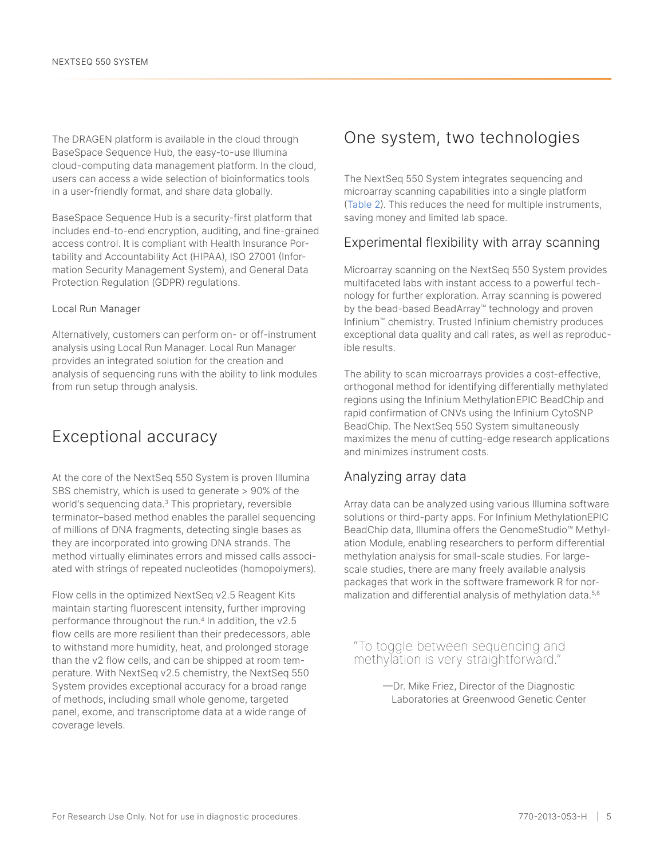The DRAGEN platform is available in the cloud through BaseSpace Sequence Hub, the easy-to-use Illumina cloud-computing data management platform. In the cloud, users can access a wide selection of bioinformatics tools in a user-friendly format, and share data globally.

BaseSpace Sequence Hub is a security-first platform that includes end-to-end encryption, auditing, and fine-grained access control. It is compliant with Health Insurance Portability and Accountability Act (HIPAA), ISO 27001 (Information Security Management System), and General Data Protection Regulation (GDPR) regulations.

#### Local Run Manager

Alternatively, customers can perform on- or off-instrument analysis using Local Run Manager. Local Run Manager provides an integrated solution for the creation and analysis of sequencing runs with the ability to link modules from run setup through analysis.

### Exceptional accuracy

At the core of the NextSeq 550 System is proven Illumina SBS chemistry, which is used to generate > 90% of the world's sequencing data.<sup>[3](#page-6-2)</sup> This proprietary, reversible terminator–based method enables the parallel sequencing of millions of DNA fragments, detecting single bases as they are incorporated into growing DNA strands. The method virtually eliminates errors and missed calls associated with strings of repeated nucleotides (homopolymers).

Flow cells in the optimized NextSeq v2.5 Reagent Kits maintain starting fluorescent intensity, further improving performance throughout the run.<sup>[4](#page-6-3)</sup> In addition, the v2.5 flow cells are more resilient than their predecessors, able to withstand more humidity, heat, and prolonged storage than the v2 flow cells, and can be shipped at room temperature. With NextSeq v2.5 chemistry, the NextSeq 550 System provides exceptional accuracy for a broad range of methods, including small whole genome, targeted panel, exome, and transcriptome data at a wide range of coverage levels.

### One system, two technologies

The NextSeq 550 System integrates sequencing and microarray scanning capabilities into a single platform [\(Table](#page-2-0) 2). This reduces the need for multiple instruments, saving money and limited lab space.

### Experimental flexibility with array scanning

Microarray scanning on the NextSeq 550 System provides multifaceted labs with instant access to a powerful technology for further exploration. Array scanning is powered by the bead-based BeadArray™ technology and proven Infinium™ chemistry. Trusted Infinium chemistry produces exceptional data quality and call rates, as well as reproducible results.

The ability to scan microarrays provides a cost-effective, orthogonal method for identifying differentially methylated regions using the Infinium MethylationEPIC BeadChip and rapid confirmation of CNVs using the Infinium CytoSNP BeadChip. The NextSeq 550 System simultaneously maximizes the menu of cutting-edge research applications and minimizes instrument costs.

### Analyzing array data

Array data can be analyzed using various Illumina software solutions or third-party apps. For Infinium MethylationEPIC BeadChip data, Illumina offers the GenomeStudio™ Methylation Module, enabling researchers to perform differential methylation analysis for small-scale studies. For largescale studies, there are many freely available analysis packages that work in the software framework R for nor-malization and differential analysis of methylation data.<sup>[5,](#page-6-4)[6](#page-6-5)</sup>

"To toggle between sequencing and methylation is very straightforward."

> —Dr. Mike Friez, Director of the Diagnostic Laboratories at Greenwood Genetic Center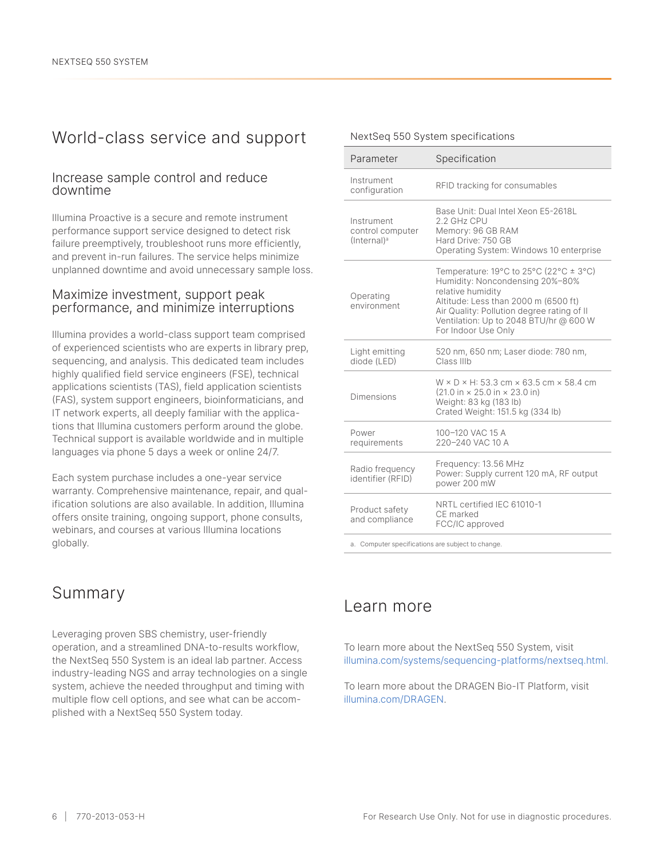### World-class service and support

### Increase sample control and reduce downtime

Illumina Proactive is a secure and remote instrument performance support service designed to detect risk failure preemptively, troubleshoot runs more efficiently, and prevent in-run failures. The service helps minimize unplanned downtime and avoid unnecessary sample loss.

### Maximize investment, support peak performance, and minimize interruptions

Illumina provides a world-class support team comprised of experienced scientists who are experts in library prep, sequencing, and analysis. This dedicated team includes highly qualified field service engineers (FSE), technical applications scientists (TAS), field application scientists (FAS), system support engineers, bioinformaticians, and IT network experts, all deeply familiar with the applications that Illumina customers perform around the globe. Technical support is available worldwide and in multiple languages via phone 5 days a week or online 24/7.

Each system purchase includes a one-year service warranty. Comprehensive maintenance, repair, and qualification solutions are also available. In addition, Illumina offers onsite training, ongoing support, phone consults, webinars, and courses at various Illumina locations globally.

### Summary

Leveraging proven SBS chemistry, user-friendly operation, and a streamlined DNA-to-results workflow, the NextSeq 550 System is an ideal lab partner. Access industry-leading NGS and array technologies on a single system, achieve the needed throughput and timing with multiple flow cell options, and see what can be accomplished with a NextSeq 550 System today.

#### Parameter Specification Instrument mstrument<br>configuration RFID tracking for consumables Instrument control computer (Internal)<sup>a</sup> Base Unit: Dual Intel Xeon E5-2618L 2.2 GHz CPU Memory: 96 GB RAM Hard Drive: 750 GB Operating System: Windows 10 enterprise Operating environment Temperature: 19°C to 25°C (22°C  $\pm$  3°C) Humidity: Noncondensing 20%–80% relative humidity Altitude: Less than 2000 m (6500 ft) Air Quality: Pollution degree rating of II Ventilation: Up to 2048 BTU/hr @ 600 W For Indoor Use Only Light emitting diode (LED) 520 nm, 650 nm; Laser diode: 780 nm, Class IIIb Dimensions W × D × H: 53.3 cm × 63.5 cm × 58.4 cm (21.0 in × 25.0 in × 23.0 in) Weight: 83 kg (183 lb) Crated Weight: 151.5 kg (334 lb) Power requirements 100–120 VAC 15 A 220–240 VAC 10 A Radio frequency identifier (RFID) Frequency: 13.56 MHz Power: Supply current 120 mA, RF output power 200 mW Product safety and compliance NRTL certified IEC 61010-1 CE marked FCC/IC approved

NextSeq 550 System specifications

a. Computer specifications are subject to change.

### Learn more

To learn more about the NextSeq 550 System, visit [illumina.com/systems/sequencing-platforms/nextseq.html](https://www.illumina.com/systems/sequencing-platforms/nextseq.html).

To learn more about the DRAGEN Bio-IT Platform, visit [illumina.com/DRAGEN](https://www.illumina.com/products/by-type/informatics-products/dragen-bio-it-platform.html).